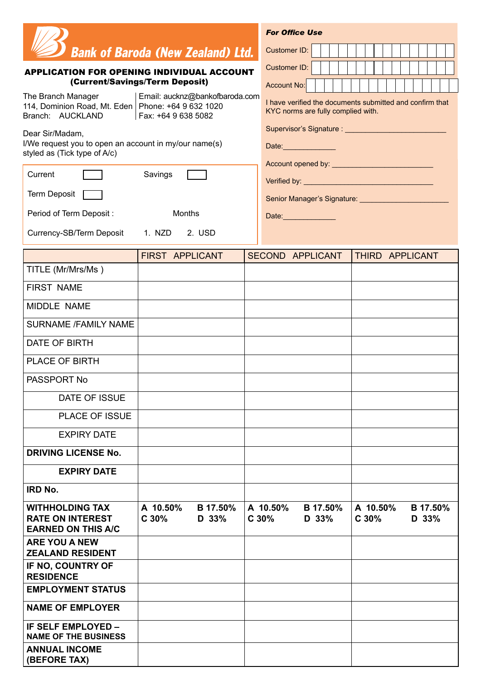|                                                                                       |                                |                   |                      |                                                                                                | <b>For Office Use</b> |                          |  |  |                  |          |  |                   |  |  |
|---------------------------------------------------------------------------------------|--------------------------------|-------------------|----------------------|------------------------------------------------------------------------------------------------|-----------------------|--------------------------|--|--|------------------|----------|--|-------------------|--|--|
| <b>Bank of Baroda (New Zealand) Ltd.</b>                                              |                                |                   |                      | Customer ID:                                                                                   |                       |                          |  |  |                  |          |  |                   |  |  |
| <b>APPLICATION FOR OPENING INDIVIDUAL ACCOUNT</b><br>(Current/Savings/Term Deposit)   |                                | Customer ID:      |                      |                                                                                                |                       |                          |  |  |                  |          |  |                   |  |  |
| The Branch Manager                                                                    | Email: aucknz@bankofbaroda.com |                   |                      | Account No:                                                                                    |                       |                          |  |  |                  |          |  |                   |  |  |
| 114, Dominion Road, Mt. Eden   Phone: +64 9 632 1020<br>Branch: AUCKLAND              | Fax: +64 9 638 5082            |                   |                      | I have verified the documents submitted and confirm that<br>KYC norms are fully complied with. |                       |                          |  |  |                  |          |  |                   |  |  |
| Dear Sir/Madam,                                                                       |                                |                   |                      | Supervisor's Signature : ______________                                                        |                       |                          |  |  |                  |          |  |                   |  |  |
| I/We request you to open an account in my/our name(s)<br>styled as (Tick type of A/c) |                                |                   | Date:_______________ |                                                                                                |                       |                          |  |  |                  |          |  |                   |  |  |
| Current                                                                               | Savings                        |                   |                      |                                                                                                |                       |                          |  |  |                  |          |  |                   |  |  |
| Term Deposit                                                                          |                                |                   |                      | Senior Manager's Signature: <b>Senior Manager's Signature: Senior Manager's Signature:</b>     |                       |                          |  |  |                  |          |  |                   |  |  |
| Period of Term Deposit:                                                               | Months                         |                   |                      |                                                                                                | Date:______________   |                          |  |  |                  |          |  |                   |  |  |
| Currency-SB/Term Deposit 1. NZD                                                       |                                | 2. USD            |                      |                                                                                                |                       |                          |  |  |                  |          |  |                   |  |  |
|                                                                                       | FIRST APPLICANT                |                   |                      | SECOND APPLICANT                                                                               |                       |                          |  |  |                  |          |  | THIRD APPLICANT   |  |  |
| TITLE (Mr/Mrs/Ms)                                                                     |                                |                   |                      |                                                                                                |                       |                          |  |  |                  |          |  |                   |  |  |
| <b>FIRST NAME</b>                                                                     |                                |                   |                      |                                                                                                |                       |                          |  |  |                  |          |  |                   |  |  |
| MIDDLE NAME                                                                           |                                |                   |                      |                                                                                                |                       |                          |  |  |                  |          |  |                   |  |  |
| <b>SURNAME /FAMILY NAME</b>                                                           |                                |                   |                      |                                                                                                |                       |                          |  |  |                  |          |  |                   |  |  |
| DATE OF BIRTH                                                                         |                                |                   |                      |                                                                                                |                       |                          |  |  |                  |          |  |                   |  |  |
| <b>PLACE OF BIRTH</b>                                                                 |                                |                   |                      |                                                                                                |                       |                          |  |  |                  |          |  |                   |  |  |
| PASSPORT No                                                                           |                                |                   |                      |                                                                                                |                       |                          |  |  |                  |          |  |                   |  |  |
| DATE OF ISSUE                                                                         |                                |                   |                      |                                                                                                |                       |                          |  |  |                  |          |  |                   |  |  |
| <b>PLACE OF ISSUE</b>                                                                 |                                |                   |                      |                                                                                                |                       |                          |  |  |                  |          |  |                   |  |  |
| <b>EXPIRY DATE</b>                                                                    |                                |                   |                      |                                                                                                |                       |                          |  |  |                  |          |  |                   |  |  |
| <b>DRIVING LICENSE No.</b>                                                            |                                |                   |                      |                                                                                                |                       |                          |  |  |                  |          |  |                   |  |  |
| <b>EXPIRY DATE</b>                                                                    |                                |                   |                      |                                                                                                |                       |                          |  |  |                  |          |  |                   |  |  |
| <b>IRD No.</b>                                                                        |                                |                   |                      |                                                                                                |                       |                          |  |  |                  |          |  |                   |  |  |
| <b>WITHHOLDING TAX</b><br><b>RATE ON INTEREST</b><br><b>EARNED ON THIS A/C</b>        | A 10.50%<br>C30%               | B 17.50%<br>D 33% |                      | A 10.50%<br>C <sub>30%</sub>                                                                   |                       | <b>B</b> 17.50%<br>D 33% |  |  | C <sub>30%</sub> | A 10.50% |  | B 17.50%<br>D 33% |  |  |
| <b>ARE YOU A NEW</b><br><b>ZEALAND RESIDENT</b>                                       |                                |                   |                      |                                                                                                |                       |                          |  |  |                  |          |  |                   |  |  |
| IF NO, COUNTRY OF<br><b>RESIDENCE</b>                                                 |                                |                   |                      |                                                                                                |                       |                          |  |  |                  |          |  |                   |  |  |
| <b>EMPLOYMENT STATUS</b>                                                              |                                |                   |                      |                                                                                                |                       |                          |  |  |                  |          |  |                   |  |  |
| <b>NAME OF EMPLOYER</b>                                                               |                                |                   |                      |                                                                                                |                       |                          |  |  |                  |          |  |                   |  |  |
| <b>IF SELF EMPLOYED -</b><br><b>NAME OF THE BUSINESS</b>                              |                                |                   |                      |                                                                                                |                       |                          |  |  |                  |          |  |                   |  |  |
| <b>ANNUAL INCOME</b><br>(BEFORE TAX)                                                  |                                |                   |                      |                                                                                                |                       |                          |  |  |                  |          |  |                   |  |  |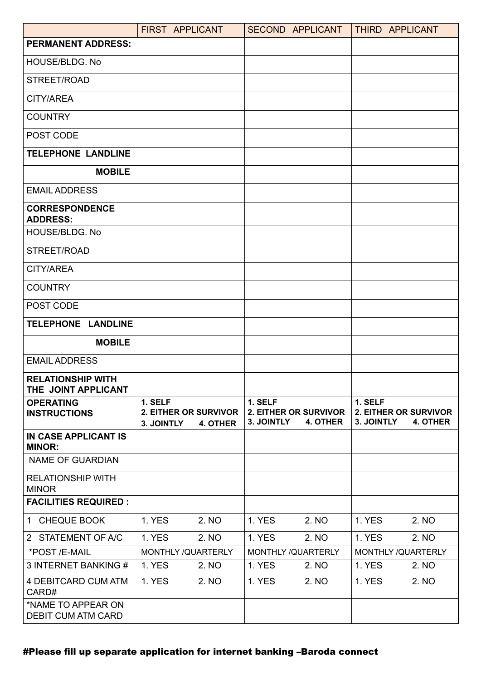|                                                 | FIRST APPLICANT                                       |          |                       | SECOND APPLICANT                  | THIRD APPLICANT       |                                   |
|-------------------------------------------------|-------------------------------------------------------|----------|-----------------------|-----------------------------------|-----------------------|-----------------------------------|
| <b>PERMANENT ADDRESS:</b>                       |                                                       |          |                       |                                   |                       |                                   |
| HOUSE/BLDG, No                                  |                                                       |          |                       |                                   |                       |                                   |
| STREET/ROAD                                     |                                                       |          |                       |                                   |                       |                                   |
| CITY/AREA                                       |                                                       |          |                       |                                   |                       |                                   |
| <b>COUNTRY</b>                                  |                                                       |          |                       |                                   |                       |                                   |
| POST CODE                                       |                                                       |          |                       |                                   |                       |                                   |
| <b>TELEPHONE LANDLINE</b>                       |                                                       |          |                       |                                   |                       |                                   |
| <b>MOBILE</b>                                   |                                                       |          |                       |                                   |                       |                                   |
| <b>EMAIL ADDRESS</b>                            |                                                       |          |                       |                                   |                       |                                   |
| <b>CORRESPONDENCE</b><br><b>ADDRESS:</b>        |                                                       |          |                       |                                   |                       |                                   |
| HOUSE/BLDG. No                                  |                                                       |          |                       |                                   |                       |                                   |
| STREET/ROAD                                     |                                                       |          |                       |                                   |                       |                                   |
| CITY/AREA                                       |                                                       |          |                       |                                   |                       |                                   |
| <b>COUNTRY</b>                                  |                                                       |          |                       |                                   |                       |                                   |
| POST CODE                                       |                                                       |          |                       |                                   |                       |                                   |
| TELEPHONE LANDLINE                              |                                                       |          |                       |                                   |                       |                                   |
| <b>MOBILE</b>                                   |                                                       |          |                       |                                   |                       |                                   |
| <b>EMAIL ADDRESS</b>                            |                                                       |          |                       |                                   |                       |                                   |
| <b>RELATIONSHIP WITH</b><br>THE JOINT APPLICANT |                                                       |          |                       |                                   |                       |                                   |
| <b>OPERATING</b><br><b>INSTRUCTIONS</b>         | 1. SELF<br><b>2. EITHER OR SURVIVOR</b><br>3. JOINTLY | 4. OTHER | 1. SELF<br>3. JOINTLY | 2. EITHER OR SURVIVOR<br>4. OTHER | 1. SELF<br>3. JOINTLY | 2. EITHER OR SURVIVOR<br>4. OTHER |
| IN CASE APPLICANT IS<br><b>MINOR:</b>           |                                                       |          |                       |                                   |                       |                                   |
| <b>NAME OF GUARDIAN</b>                         |                                                       |          |                       |                                   |                       |                                   |
| <b>RELATIONSHIP WITH</b><br><b>MINOR</b>        |                                                       |          |                       |                                   |                       |                                   |
| <b>FACILITIES REQUIRED :</b>                    |                                                       |          |                       |                                   |                       |                                   |
| 1 CHEQUE BOOK                                   | <b>1. YES</b>                                         | 2. NO    | <b>1. YES</b>         | 2. NO                             | 1. YES                | 2. NO                             |
| 2 STATEMENT OF A/C                              | <b>1. YES</b>                                         | 2. NO    | <b>1. YES</b>         | 2. NO                             | <b>1. YES</b>         | 2. NO                             |
| *POST /E-MAIL                                   | MONTHLY /QUARTERLY                                    |          | MONTHLY / QUARTERLY   |                                   | MONTHLY / QUARTERLY   |                                   |
| 3 INTERNET BANKING #                            | <b>1. YES</b>                                         | 2. NO    | <b>1. YES</b>         | 2. NO                             | <b>1. YES</b>         | 2. NO                             |
| 4 DEBITCARD CUM ATM<br>CARD#                    | <b>1. YES</b>                                         | 2. NO    | <b>1. YES</b>         | 2. NO                             | <b>1. YES</b>         | 2. NO                             |
| *NAME TO APPEAR ON<br><b>DEBIT CUM ATM CARD</b> |                                                       |          |                       |                                   |                       |                                   |

## #Please fill up separate application for internet banking –Baroda connect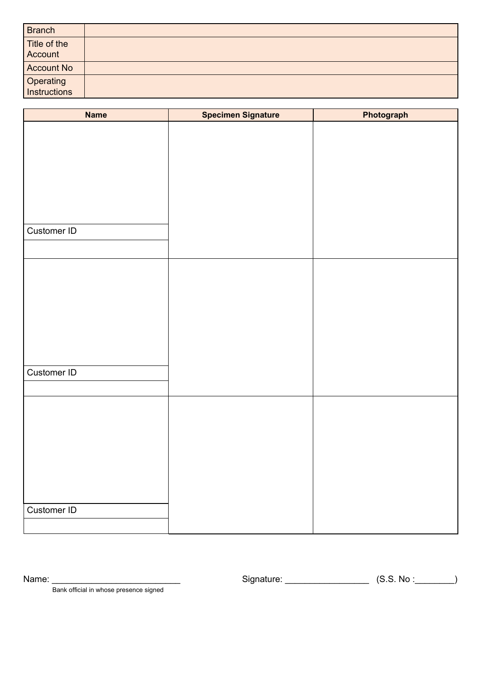| Branch                    |  |
|---------------------------|--|
| Title of the              |  |
| Account                   |  |
| <b>Account No</b>         |  |
| Operating<br>Instructions |  |
|                           |  |

| <b>Name</b> | Specimen Signature | Photograph |
|-------------|--------------------|------------|
|             |                    |            |
|             |                    |            |
|             |                    |            |
|             |                    |            |
|             |                    |            |
|             |                    |            |
|             |                    |            |
| Customer ID |                    |            |
|             |                    |            |
|             |                    |            |
|             |                    |            |
|             |                    |            |
|             |                    |            |
|             |                    |            |
|             |                    |            |
|             |                    |            |
| Customer ID |                    |            |
|             |                    |            |
|             |                    |            |
|             |                    |            |
|             |                    |            |
|             |                    |            |
|             |                    |            |
|             |                    |            |
|             |                    |            |
|             |                    |            |
| Customer ID |                    |            |
|             |                    |            |

Name: \_\_\_\_\_\_\_\_\_\_\_\_\_\_\_\_\_\_\_\_\_\_\_\_\_\_ Signature: \_\_\_\_\_\_\_\_\_\_\_\_\_\_\_\_\_ (S.S. No :\_\_\_\_\_\_\_\_)

Bank official in whose presence signed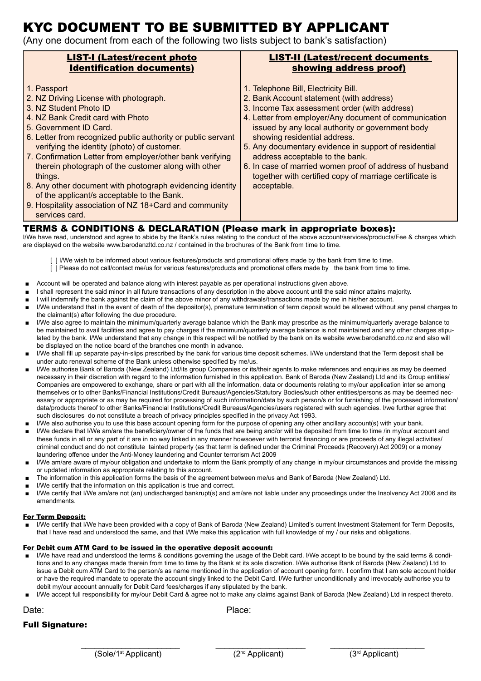# KYC DOCUMENT TO BE SUBMITTED BY APPLICANT

(Any one document from each of the following two lists subject to bank's satisfaction)

| <b>LIST-I (Latest/recent photo</b>                                                                                                                                                                                                                                                                                                                                                                                                                                                                                                                                                  | <b>LIST-II (Latest/recent documents</b>                                                                                                                                                                                                                                                                                                                                                                                                                                                                         |
|-------------------------------------------------------------------------------------------------------------------------------------------------------------------------------------------------------------------------------------------------------------------------------------------------------------------------------------------------------------------------------------------------------------------------------------------------------------------------------------------------------------------------------------------------------------------------------------|-----------------------------------------------------------------------------------------------------------------------------------------------------------------------------------------------------------------------------------------------------------------------------------------------------------------------------------------------------------------------------------------------------------------------------------------------------------------------------------------------------------------|
| <b>Identification documents)</b>                                                                                                                                                                                                                                                                                                                                                                                                                                                                                                                                                    | showing address proof)                                                                                                                                                                                                                                                                                                                                                                                                                                                                                          |
| 1. Passport<br>2. NZ Driving License with photograph.<br>3. NZ Student Photo ID<br>4. NZ Bank Credit card with Photo<br>5. Government ID Card.<br>6. Letter from recognized public authority or public servant<br>verifying the identity (photo) of customer.<br>7. Confirmation Letter from employer/other bank verifying<br>therein photograph of the customer along with other<br>things.<br>8. Any other document with photograph evidencing identity<br>of the applicant/s acceptable to the Bank.<br>9. Hospitality association of NZ 18+Card and community<br>services card. | 1. Telephone Bill, Electricity Bill.<br>2. Bank Account statement (with address)<br>3. Income Tax assessment order (with address)<br>4. Letter from employer/Any document of communication<br>issued by any local authority or government body<br>showing residential address.<br>5. Any documentary evidence in support of residential<br>address acceptable to the bank.<br>6. In case of married women proof of address of husband<br>together with certified copy of marriage certificate is<br>acceptable. |

#### TERMS & CONDITIONS & DECLARATION (Please mark in appropriate boxes):

I/We have read, understood and agree to abide by the Bank's rules relating to the conduct of the above account/services/products/Fee & charges which are displayed on the website www.barodanzltd.co.nz / contained in the brochures of the Bank from time to time.

[ ] I/We wish to be informed about various features/products and promotional offers made by the bank from time to time.

- [ ] Please do not call/contact me/us for various features/products and promotional offers made by the bank from time to time.
- Account will be operated and balance along with interest payable as per operational instructions given above.
- I shall represent the said minor in all future transactions of any description in the above account until the said minor attains majority.
- I will indemnify the bank against the claim of the above minor of any withdrawals/transactions made by me in his/her account.
- I/We understand that in the event of death of the depositor(s), premature termination of term deposit would be allowed without any penal charges to the claimant(s) after following the due procedure.
- I/We also agree to maintain the minimum/quarterly average balance which the Bank may prescribe as the minimum/quarterly average balance to be maintained to avail facilities and agree to pay charges if the minimum/quarterly average balance is not maintained and any other charges stipulated by the bank. I/We understand that any change in this respect will be notified by the bank on its website www.barodanzltd.co.nz and also will be displayed on the notice board of the branches one month in advance.
- I/We shall fill up separate pay-in-slips prescribed by the bank for various time deposit schemes. I/We understand that the Term deposit shall be under auto renewal scheme of the Bank unless otherwise specified by me/us.
- I/We authorise Bank of Baroda (New Zealand) Ltd/its group Companies or its/their agents to make references and enquiries as may be deemed necessary in their discretion with regard to the information furnished in this application. Bank of Baroda (New Zealand) Ltd and its Group entities/ Companies are empowered to exchange, share or part with all the information, data or documents relating to my/our application inter se among themselves or to other Banks/Financial Institutions/Credit Bureaus/Agencies/Statutory Bodies/such other entities/persons as may be deemed necessary or appropriate or as may be required for processing of such information/data by such person/s or for furnishing of the processed information/ data/products thereof to other Banks/Financial Institutions/Credit Bureaus/Agencies/users registered with such agencies. I/we further agree that such disclosures do not constitute a breach of privacy principles specified in the privacy Act 1993.
- I/We also authorise you to use this base account opening form for the purpose of opening any other ancillary account(s) with your bank.
- I/We declare that I/We am/are the beneficiary/owner of the funds that are being and/or will be deposited from time to time /in my/our account and these funds in all or any part of it are in no way linked in any manner howsoever with terrorist financing or are proceeds of any illegal activities/ criminal conduct and do not constitute tainted property (as that term is defined under the Criminal Proceeds (Recovery) Act 2009) or a money laundering offence under the Anti-Money laundering and Counter terrorism Act 2009
- I/We am/are aware of my/our obligation and undertake to inform the Bank promptly of any change in my/our circumstances and provide the missing or updated information as appropriate relating to this account.
- The information in this application forms the basis of the agreement between me/us and Bank of Baroda (New Zealand) Ltd.
- I/We certify that the information on this application is true and correct.
- I/We certify that I/We am/are not (an) undischarged bankrupt(s) and am/are not liable under any proceedings under the Insolvency Act 2006 and its amendments.

#### For Term Deposit:

I/We certify that I/We have been provided with a copy of Bank of Baroda (New Zealand) Limited's current Investment Statement for Term Deposits, that I have read and understood the same, and that I/We make this application with full knowledge of my / our risks and obligations.

#### For Debit cum ATM Card to be issued in the operative deposit account:

- I/We have read and understood the terms & conditions governing the usage of the Debit card. I/We accept to be bound by the said terms & conditions and to any changes made therein from time to time by the Bank at its sole discretion. I/We authorise Bank of Baroda (New Zealand) Ltd to issue a Debit cum ATM Card to the person/s as name mentioned in the application of account opening form. I confirm that I am sole account holder or have the required mandate to operate the account singly linked to the Debit Card. I/We further unconditionally and irrevocably authorise you to debit my/our account annually for Debit Card fees/charges if any stipulated by the bank.
- I/We accept full responsibility for my/our Debit Card & agree not to make any claims against Bank of Baroda (New Zealand) Ltd in respect thereto.

Date: **Date:** Place:

Full Signature: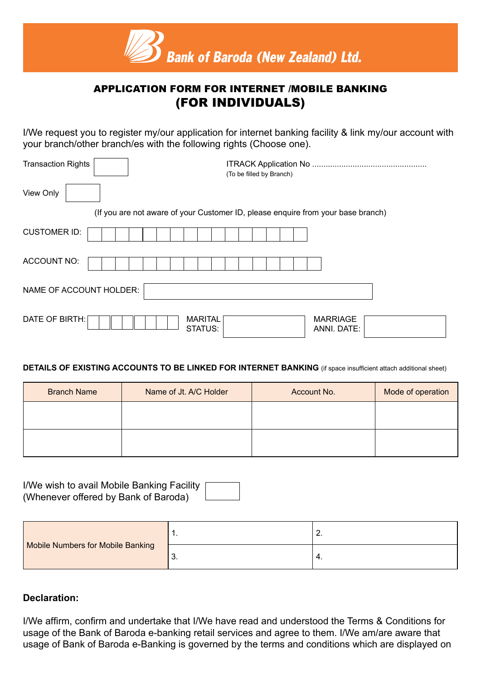

# APPLICATION FORM FOR INTERNET /MOBILE BANKING (FOR INDIVIDUALS)

I/We request you to register my/our application for internet banking facility & link my/our account with your branch/other branch/es with the following rights (Choose one).

| <b>Transaction Rights</b>                   | (To be filled by Branch)                                                         |
|---------------------------------------------|----------------------------------------------------------------------------------|
| View Only                                   |                                                                                  |
|                                             | (If you are not aware of your Customer ID, please enquire from your base branch) |
| <b>CUSTOMER ID:</b>                         |                                                                                  |
| <b>ACCOUNT NO:</b>                          |                                                                                  |
| NAME OF ACCOUNT HOLDER:                     |                                                                                  |
| DATE OF BIRTH:<br><b>MARITAL</b><br>STATUS: | <b>MARRIAGE</b><br>ANNI. DATE:                                                   |

### **DETAILS OF EXISTING ACCOUNTS TO BE LINKED FOR INTERNET BANKING** (if space insufficient attach additional sheet)

| <b>Branch Name</b> | Name of Jt. A/C Holder | Account No. | Mode of operation |
|--------------------|------------------------|-------------|-------------------|
|                    |                        |             |                   |
|                    |                        |             |                   |
|                    |                        |             |                   |

I/We wish to avail Mobile Banking Facility (Whenever offered by Bank of Baroda)

|                                   | . . | <u>.</u> |
|-----------------------------------|-----|----------|
| Mobile Numbers for Mobile Banking | J.  | 4.       |

## **Declaration:**

I/We affirm, confirm and undertake that I/We have read and understood the Terms & Conditions for usage of the Bank of Baroda e-banking retail services and agree to them. I/We am/are aware that usage of Bank of Baroda e-Banking is governed by the terms and conditions which are displayed on